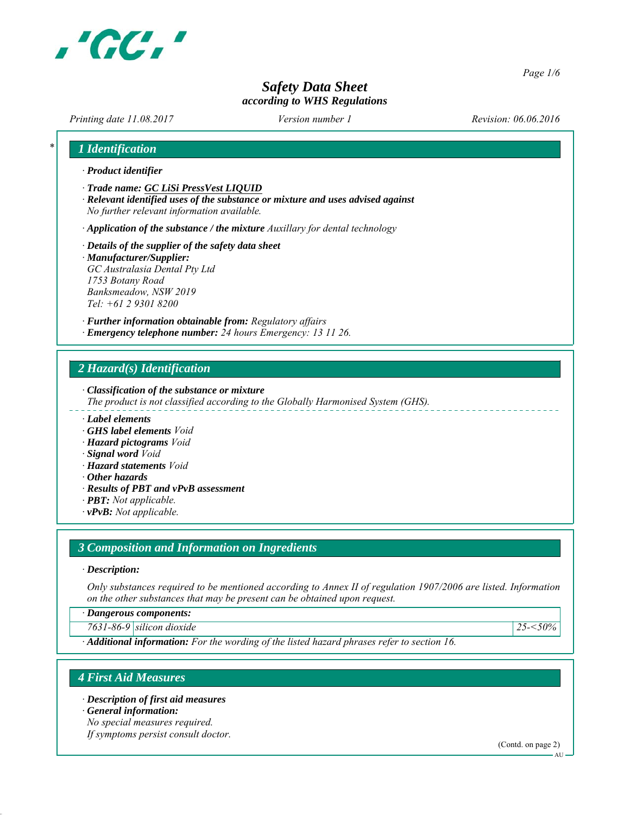

*Page 1/6*

# *Safety Data Sheet according to WHS Regulations*

*Printing date 11.08.2017 Revision: 06.06.2016 Version number 1*

| $\cdot$ Product identifier                                                         |                                                                                    |  |
|------------------------------------------------------------------------------------|------------------------------------------------------------------------------------|--|
| Trade name: GC LiSi PressVest LIOUID<br>No further relevant information available. | · Relevant identified uses of the substance or mixture and uses advised against    |  |
|                                                                                    | $\cdot$ Application of the substance / the mixture Auxillary for dental technology |  |
| $\cdot$ Details of the supplier of the safety data sheet                           |                                                                                    |  |
| $\cdot$ Manufacturer/Supplier:                                                     |                                                                                    |  |
| GC Australasia Dental Pty Ltd                                                      |                                                                                    |  |
| 1753 Botany Road                                                                   |                                                                                    |  |
| Banksmeadow, NSW 2019                                                              |                                                                                    |  |
| $Tel: +61 2 9301 8200$                                                             |                                                                                    |  |
|                                                                                    | · Further information obtainable from: Regulatory affairs                          |  |

# *2 Hazard(s) Identification*

*∙ Classification of the substance or mixture*

- *The product is not classified according to the Globally Harmonised System (GHS).*
- *∙ Label elements*
- *∙ GHS label elements Void*
- *∙ Hazard pictograms Void*
- *∙ Signal word Void*
- *∙ Hazard statements Void*
- *∙ Other hazards*
- *∙ Results of PBT and vPvB assessment*
- *∙ PBT: Not applicable.*
- *∙ vPvB: Not applicable.*

#### *3 Composition and Information on Ingredients*

#### *∙ Description:*

*Only substances required to be mentioned according to Annex II of regulation 1907/2006 are listed. Information on the other substances that may be present can be obtained upon request.*

*∙ Dangerous components:*

*7631-86-9 silicon dioxide 25-<50%*

*∙ Additional information: For the wording of the listed hazard phrases refer to section 16.*

#### *4 First Aid Measures*

*∙ Description of first aid measures*

*∙ General information:*

*No special measures required.*

*If symptoms persist consult doctor.*

(Contd. on page 2)

AU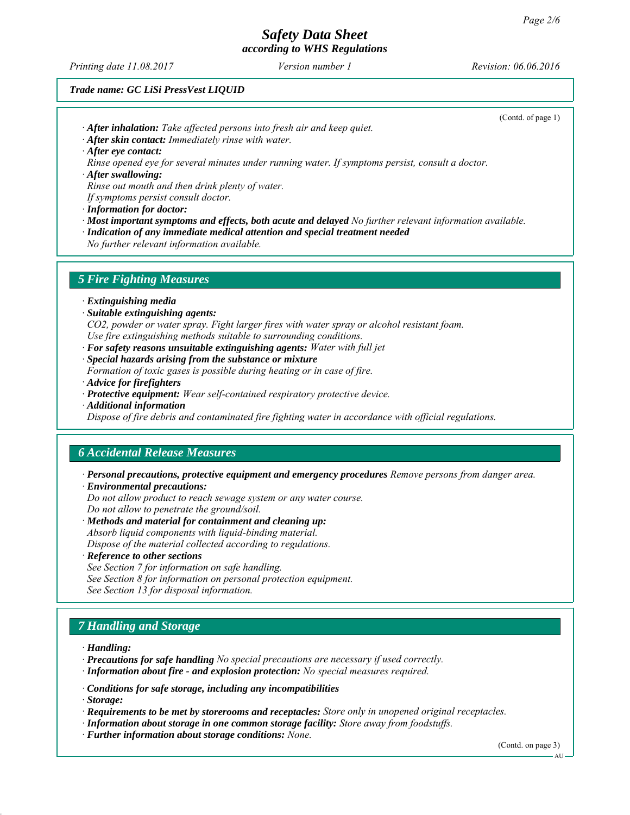*Printing date 11.08.2017 Revision: 06.06.2016 Version number 1*

(Contd. of page 1)

#### *Trade name: GC LiSi PressVest LIQUID*

*∙ After inhalation: Take affected persons into fresh air and keep quiet.*

*∙ After skin contact: Immediately rinse with water.*

*∙ After eye contact:*

*Rinse opened eye for several minutes under running water. If symptoms persist, consult a doctor.*

*∙ After swallowing:*

*Rinse out mouth and then drink plenty of water.*

*If symptoms persist consult doctor.*

- *∙ Information for doctor:*
- *∙ Most important symptoms and effects, both acute and delayed No further relevant information available.*
- *∙ Indication of any immediate medical attention and special treatment needed*

*No further relevant information available.*

#### *5 Fire Fighting Measures*

*∙ Extinguishing media*

*∙ Suitable extinguishing agents:*

*CO2, powder or water spray. Fight larger fires with water spray or alcohol resistant foam. Use fire extinguishing methods suitable to surrounding conditions.*

- *∙ For safety reasons unsuitable extinguishing agents: Water with full jet*
- *∙ Special hazards arising from the substance or mixture*
- *Formation of toxic gases is possible during heating or in case of fire.*
- *∙ Advice for firefighters*
- *∙ Protective equipment: Wear self-contained respiratory protective device.*
- *∙ Additional information*

*Dispose of fire debris and contaminated fire fighting water in accordance with official regulations.*

# *6 Accidental Release Measures*

*∙ Personal precautions, protective equipment and emergency procedures Remove persons from danger area. ∙ Environmental precautions:*

*Do not allow product to reach sewage system or any water course. Do not allow to penetrate the ground/soil.*

- *∙ Methods and material for containment and cleaning up: Absorb liquid components with liquid-binding material. Dispose of the material collected according to regulations.*
- *∙ Reference to other sections*

*See Section 7 for information on safe handling.*

- *See Section 8 for information on personal protection equipment.*
- *See Section 13 for disposal information.*

# *7 Handling and Storage*

*∙ Handling:*

- *∙ Precautions for safe handling No special precautions are necessary if used correctly.*
- *∙ Information about fire and explosion protection: No special measures required.*
- *∙ Conditions for safe storage, including any incompatibilities*

*∙ Storage:*

- *∙ Requirements to be met by storerooms and receptacles: Store only in unopened original receptacles.*
- *∙ Information about storage in one common storage facility: Store away from foodstuffs.*
- *∙ Further information about storage conditions: None.*

(Contd. on page 3)

AU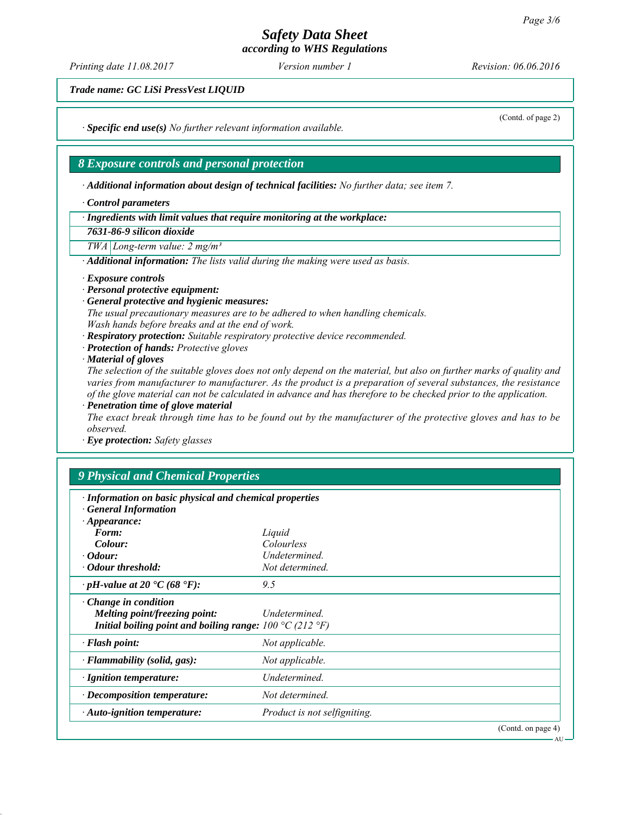*Printing date 11.08.2017 Revision: 06.06.2016 Version number 1*

*Trade name: GC LiSi PressVest LIQUID*

*∙ Specific end use(s) No further relevant information available.*

#### *8 Exposure controls and personal protection*

*∙ Additional information about design of technical facilities: No further data; see item 7.*

*∙ Control parameters*

*∙ Ingredients with limit values that require monitoring at the workplace:*

*7631-86-9 silicon dioxide*

*TWA Long-term value: 2 mg/m³*

*∙ Additional information: The lists valid during the making were used as basis.*

*∙ Exposure controls*

- *∙ Personal protective equipment:*
- *∙ General protective and hygienic measures:*

*The usual precautionary measures are to be adhered to when handling chemicals. Wash hands before breaks and at the end of work.*

*∙ Respiratory protection: Suitable respiratory protective device recommended.*

*∙ Protection of hands: Protective gloves*

*∙ Material of gloves*

*The selection of the suitable gloves does not only depend on the material, but also on further marks of quality and varies from manufacturer to manufacturer. As the product is a preparation of several substances, the resistance of the glove material can not be calculated in advance and has therefore to be checked prior to the application. ∙ Penetration time of glove material*

*The exact break through time has to be found out by the manufacturer of the protective gloves and has to be observed.*

*∙ Eye protection: Safety glasses*

# *9 Physical and Chemical Properties*

| · Information on basic physical and chemical properties<br><b>General Information</b>                                                       |                              |  |  |
|---------------------------------------------------------------------------------------------------------------------------------------------|------------------------------|--|--|
| $\cdot$ Appearance:                                                                                                                         |                              |  |  |
| Form:                                                                                                                                       | Liquid                       |  |  |
| Colour:                                                                                                                                     | Colourless                   |  |  |
| $\cdot$ Odour:                                                                                                                              | Undetermined.                |  |  |
| · Odour threshold:                                                                                                                          | Not determined.              |  |  |
| $\cdot$ pH-value at 20 $\textdegree$ C (68 $\textdegree$ F):                                                                                | 9.5                          |  |  |
| $\cdot$ Change in condition<br>Melting point/freezing point:<br>Initial boiling point and boiling range: $100 \degree C$ (212 $\degree F$ ) | Undetermined.                |  |  |
| $\cdot$ Flash point:                                                                                                                        | Not applicable.              |  |  |
| · Flammability (solid, gas):                                                                                                                | Not applicable.              |  |  |
| · Ignition temperature:                                                                                                                     | Undetermined.                |  |  |
| $\cdot$ Decomposition temperature:                                                                                                          | Not determined.              |  |  |
| $\cdot$ Auto-ignition temperature:                                                                                                          | Product is not selfigniting. |  |  |
|                                                                                                                                             | (Cond. on page 4)            |  |  |

(Contd. of page 2)

AU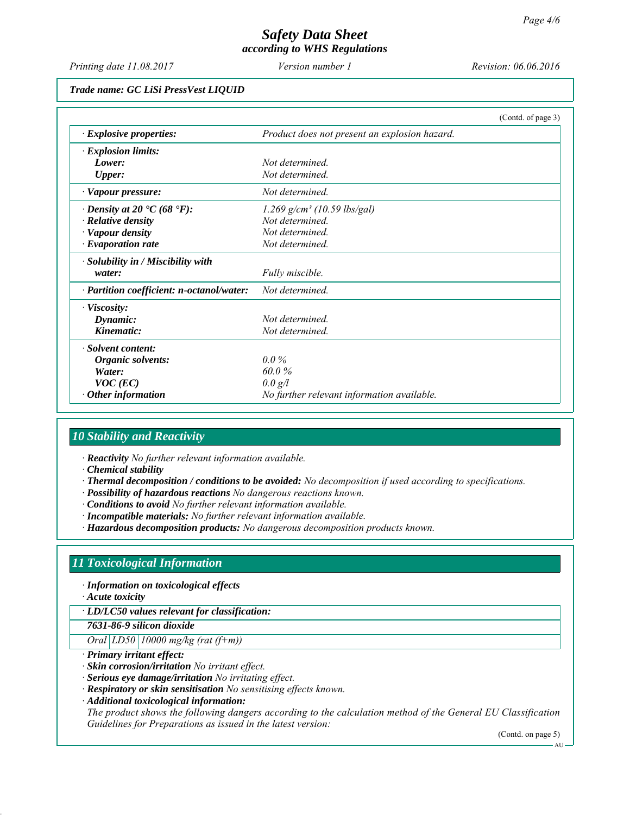*Printing date 11.08.2017 Revision: 06.06.2016 Version number 1*

#### *Trade name: GC LiSi PressVest LIQUID*

|                                                 | (Contd. of page 3)                            |
|-------------------------------------------------|-----------------------------------------------|
| $\cdot$ Explosive properties:                   | Product does not present an explosion hazard. |
| $\cdot$ Explosion limits:                       |                                               |
| Lower:                                          | Not determined                                |
| <b>Upper:</b>                                   | Not determined.                               |
| · Vapour pressure:                              | Not determined.                               |
| $\cdot$ Density at 20 $\cdot$ C (68 $\cdot$ F): | $1.269$ g/cm <sup>3</sup> (10.59 lbs/gal)     |
| $\cdot$ Relative density                        | Not determined.                               |
| · Vapour density                                | Not determined.                               |
| $\cdot$ Evaporation rate                        | Not determined.                               |
| · Solubility in / Miscibility with              |                                               |
| water:                                          | Fully miscible.                               |
| · Partition coefficient: n-octanol/water:       | Not determined.                               |
| $\cdot$ Viscosity:                              |                                               |
| Dynamic:                                        | Not determined                                |
| Kinematic:                                      | Not determined.                               |
| · Solvent content:                              |                                               |
| Organic solvents:                               | $0.0\%$                                       |
| Water:                                          | 60.0%                                         |
| $VOC$ (EC)                                      | 0.0 g/l                                       |
| Other information                               | No further relevant information available.    |

#### *10 Stability and Reactivity*

*∙ Reactivity No further relevant information available.*

- *∙ Chemical stability*
- *∙ Thermal decomposition / conditions to be avoided: No decomposition if used according to specifications.*
- *∙ Possibility of hazardous reactions No dangerous reactions known.*
- *∙ Conditions to avoid No further relevant information available.*
- *∙ Incompatible materials: No further relevant information available.*
- *∙ Hazardous decomposition products: No dangerous decomposition products known.*

#### *11 Toxicological Information*

*∙ Information on toxicological effects*

*∙ Acute toxicity*

*∙ LD/LC50 values relevant for classification:*

*7631-86-9 silicon dioxide*

*Oral LD50 10000 mg/kg (rat (f+m))*

*∙ Primary irritant effect:*

*∙ Skin corrosion/irritation No irritant effect.*

*∙ Serious eye damage/irritation No irritating effect.*

*∙ Respiratory or skin sensitisation No sensitising effects known.*

*∙ Additional toxicological information:*

*The product shows the following dangers according to the calculation method of the General EU Classification Guidelines for Preparations as issued in the latest version:*

(Contd. on page 5) AU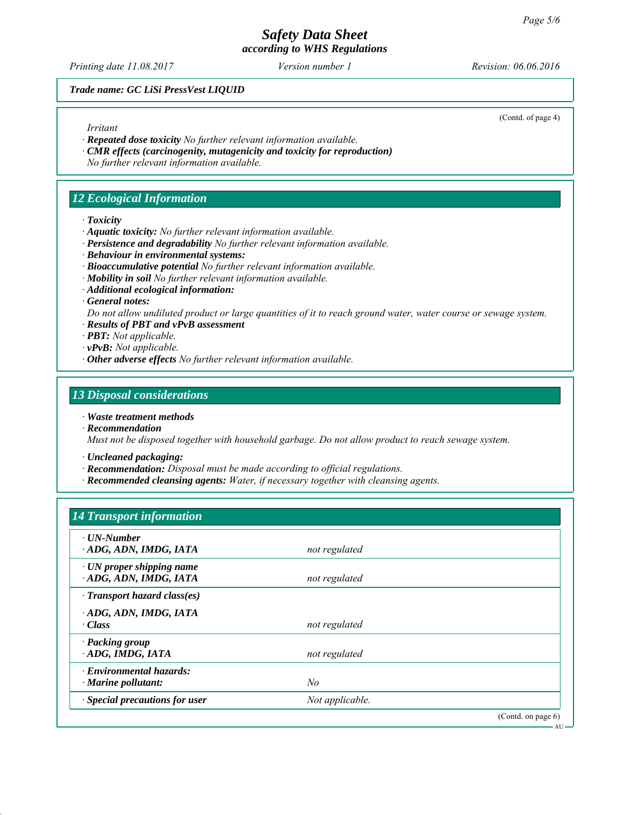*Printing date 11.08.2017 Revision: 06.06.2016 Version number 1*

(Contd. of page 4)

AU

#### *Trade name: GC LiSi PressVest LIQUID*

#### *Irritant*

*∙ Repeated dose toxicity No further relevant information available.*

- *∙ CMR effects (carcinogenity, mutagenicity and toxicity for reproduction)*
- *No further relevant information available.*

#### *12 Ecological Information*

*∙ Toxicity*

- *∙ Aquatic toxicity: No further relevant information available.*
- *∙ Persistence and degradability No further relevant information available.*
- *∙ Behaviour in environmental systems:*
- *∙ Bioaccumulative potential No further relevant information available.*
- *∙ Mobility in soil No further relevant information available.*
- *∙ Additional ecological information:*
- *∙ General notes:*

*Do not allow undiluted product or large quantities of it to reach ground water, water course or sewage system.*

- *∙ Results of PBT and vPvB assessment*
- *∙ PBT: Not applicable.*
- *∙ vPvB: Not applicable.*
- *∙ Other adverse effects No further relevant information available.*

#### *13 Disposal considerations*

- *∙ Waste treatment methods*
- *∙ Recommendation*

*Must not be disposed together with household garbage. Do not allow product to reach sewage system.*

- *∙ Uncleaned packaging:*
- *∙ Recommendation: Disposal must be made according to official regulations.*
- *∙ Recommended cleansing agents: Water, if necessary together with cleansing agents.*

#### *14 Transport information*

| $\cdot$ UN-Number<br>ADG, ADN, IMDG, IATA                   | not regulated   |                    |
|-------------------------------------------------------------|-----------------|--------------------|
| $\cdot$ UN proper shipping name<br>ADG, ADN, IMDG, IATA     | not regulated   |                    |
| $\cdot$ Transport hazard class(es)                          |                 |                    |
| ADG, ADN, IMDG, IATA<br>· Class                             | not regulated   |                    |
| · Packing group<br>ADG, IMDG, IATA                          | not regulated   |                    |
| $\cdot$ Environmental hazards:<br>$\cdot$ Marine pollutant: | No              |                    |
| · Special precautions for user                              | Not applicable. |                    |
|                                                             |                 | (Contd. on page 6) |